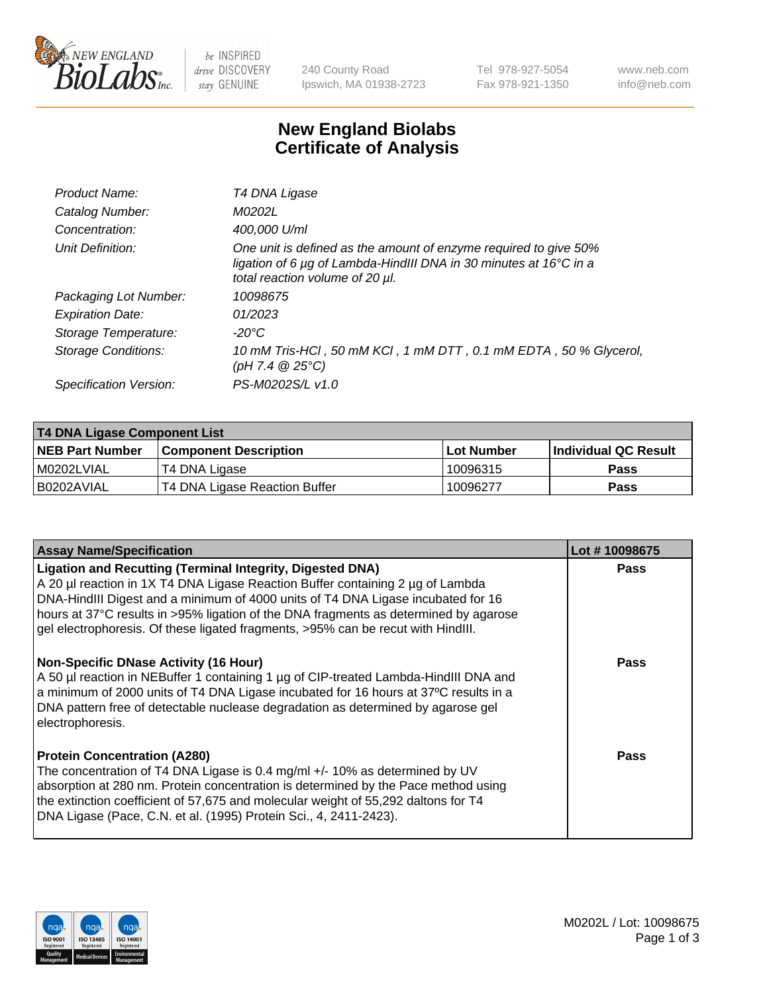

be INSPIRED drive DISCOVERY stay GENUINE

240 County Road Ipswich, MA 01938-2723 Tel 978-927-5054 Fax 978-921-1350 www.neb.com info@neb.com

## **New England Biolabs Certificate of Analysis**

| Product Name:              | T4 DNA Ligase                                                                                                                                                            |
|----------------------------|--------------------------------------------------------------------------------------------------------------------------------------------------------------------------|
| Catalog Number:            | M0202L                                                                                                                                                                   |
| Concentration:             | 400,000 U/ml                                                                                                                                                             |
| Unit Definition:           | One unit is defined as the amount of enzyme required to give 50%<br>ligation of 6 µg of Lambda-HindIII DNA in 30 minutes at 16°C in a<br>total reaction volume of 20 µl. |
| Packaging Lot Number:      | 10098675                                                                                                                                                                 |
| <b>Expiration Date:</b>    | 01/2023                                                                                                                                                                  |
| Storage Temperature:       | -20°C                                                                                                                                                                    |
| <b>Storage Conditions:</b> | 10 mM Tris-HCl, 50 mM KCl, 1 mM DTT, 0.1 mM EDTA, 50 % Glycerol,<br>(pH 7.4 $@25°C$ )                                                                                    |
| Specification Version:     | PS-M0202S/L v1.0                                                                                                                                                         |

| T4 DNA Ligase Component List |                               |              |                             |  |
|------------------------------|-------------------------------|--------------|-----------------------------|--|
| <b>NEB Part Number</b>       | <b>Component Description</b>  | l Lot Number | <b>Individual QC Result</b> |  |
| M0202LVIAL                   | T4 DNA Ligase                 | 10096315     | <b>Pass</b>                 |  |
| I B0202AVIAL                 | T4 DNA Ligase Reaction Buffer | 10096277     | <b>Pass</b>                 |  |

| <b>Assay Name/Specification</b>                                                                                                                                                                                                                                                                                                                                                                                    | Lot #10098675 |
|--------------------------------------------------------------------------------------------------------------------------------------------------------------------------------------------------------------------------------------------------------------------------------------------------------------------------------------------------------------------------------------------------------------------|---------------|
| <b>Ligation and Recutting (Terminal Integrity, Digested DNA)</b><br>A 20 µl reaction in 1X T4 DNA Ligase Reaction Buffer containing 2 µg of Lambda<br>DNA-HindIII Digest and a minimum of 4000 units of T4 DNA Ligase incubated for 16<br>hours at 37°C results in >95% ligation of the DNA fragments as determined by agarose<br>gel electrophoresis. Of these ligated fragments, >95% can be recut with HindIII. | <b>Pass</b>   |
| <b>Non-Specific DNase Activity (16 Hour)</b><br>A 50 µl reaction in NEBuffer 1 containing 1 µg of CIP-treated Lambda-HindIII DNA and<br>a minimum of 2000 units of T4 DNA Ligase incubated for 16 hours at 37°C results in a<br>DNA pattern free of detectable nuclease degradation as determined by agarose gel<br>electrophoresis.                                                                               | <b>Pass</b>   |
| <b>Protein Concentration (A280)</b><br>The concentration of T4 DNA Ligase is 0.4 mg/ml +/- 10% as determined by UV<br>absorption at 280 nm. Protein concentration is determined by the Pace method using<br>the extinction coefficient of 57,675 and molecular weight of 55,292 daltons for T4<br>DNA Ligase (Pace, C.N. et al. (1995) Protein Sci., 4, 2411-2423).                                                | Pass          |

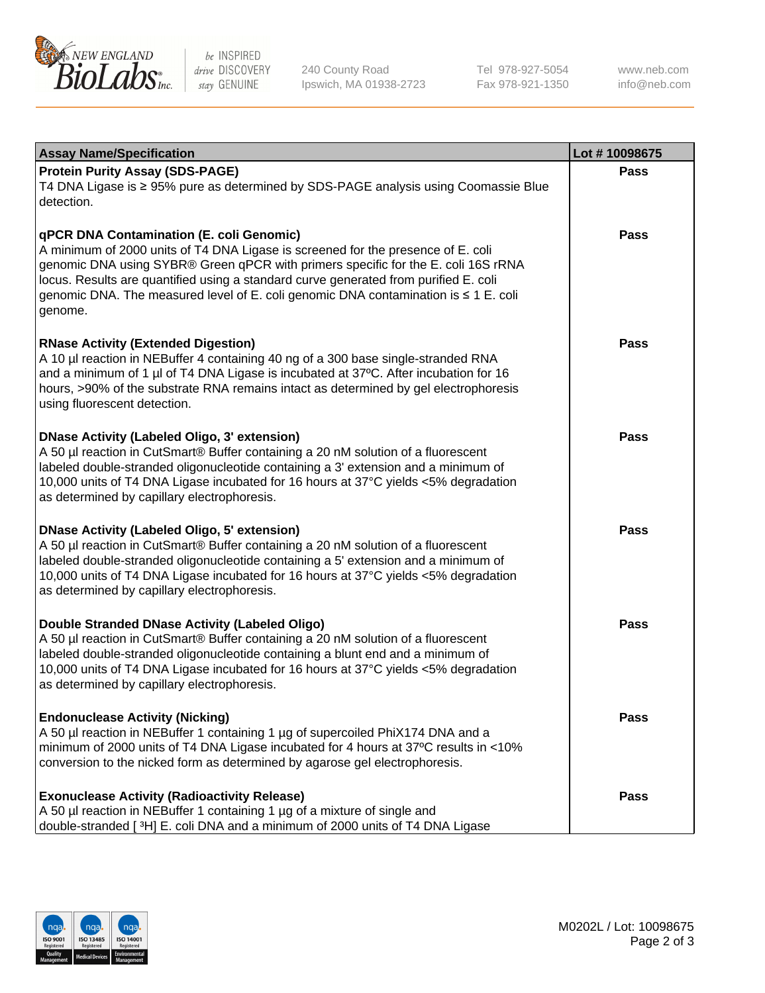

be INSPIRED drive DISCOVERY stay GENUINE

240 County Road Ipswich, MA 01938-2723 Tel 978-927-5054 Fax 978-921-1350 www.neb.com info@neb.com

| <b>Assay Name/Specification</b>                                                                                                                                                                                                                                                                                                                                                                             | Lot #10098675 |
|-------------------------------------------------------------------------------------------------------------------------------------------------------------------------------------------------------------------------------------------------------------------------------------------------------------------------------------------------------------------------------------------------------------|---------------|
| <b>Protein Purity Assay (SDS-PAGE)</b><br>T4 DNA Ligase is ≥ 95% pure as determined by SDS-PAGE analysis using Coomassie Blue<br>detection.                                                                                                                                                                                                                                                                 | <b>Pass</b>   |
| qPCR DNA Contamination (E. coli Genomic)<br>A minimum of 2000 units of T4 DNA Ligase is screened for the presence of E. coli<br>genomic DNA using SYBR® Green qPCR with primers specific for the E. coli 16S rRNA<br>locus. Results are quantified using a standard curve generated from purified E. coli<br>genomic DNA. The measured level of E. coli genomic DNA contamination is ≤ 1 E. coli<br>genome. | Pass          |
| <b>RNase Activity (Extended Digestion)</b><br>A 10 µl reaction in NEBuffer 4 containing 40 ng of a 300 base single-stranded RNA<br>and a minimum of 1 µl of T4 DNA Ligase is incubated at 37°C. After incubation for 16<br>hours, >90% of the substrate RNA remains intact as determined by gel electrophoresis<br>using fluorescent detection.                                                             | Pass          |
| <b>DNase Activity (Labeled Oligo, 3' extension)</b><br>A 50 µl reaction in CutSmart® Buffer containing a 20 nM solution of a fluorescent<br>labeled double-stranded oligonucleotide containing a 3' extension and a minimum of<br>10,000 units of T4 DNA Ligase incubated for 16 hours at 37°C yields <5% degradation<br>as determined by capillary electrophoresis.                                        | Pass          |
| <b>DNase Activity (Labeled Oligo, 5' extension)</b><br>A 50 µl reaction in CutSmart® Buffer containing a 20 nM solution of a fluorescent<br>labeled double-stranded oligonucleotide containing a 5' extension and a minimum of<br>10,000 units of T4 DNA Ligase incubated for 16 hours at 37°C yields <5% degradation<br>as determined by capillary electrophoresis.                                        | <b>Pass</b>   |
| Double Stranded DNase Activity (Labeled Oligo)<br>A 50 µl reaction in CutSmart® Buffer containing a 20 nM solution of a fluorescent<br>labeled double-stranded oligonucleotide containing a blunt end and a minimum of<br>10,000 units of T4 DNA Ligase incubated for 16 hours at 37°C yields <5% degradation<br>as determined by capillary electrophoresis.                                                | Pass          |
| <b>Endonuclease Activity (Nicking)</b><br>A 50 µl reaction in NEBuffer 1 containing 1 µg of supercoiled PhiX174 DNA and a<br>minimum of 2000 units of T4 DNA Ligase incubated for 4 hours at 37°C results in <10%<br>conversion to the nicked form as determined by agarose gel electrophoresis.                                                                                                            | Pass          |
| <b>Exonuclease Activity (Radioactivity Release)</b><br>A 50 µl reaction in NEBuffer 1 containing 1 µg of a mixture of single and<br>double-stranded [3H] E. coli DNA and a minimum of 2000 units of T4 DNA Ligase                                                                                                                                                                                           | Pass          |